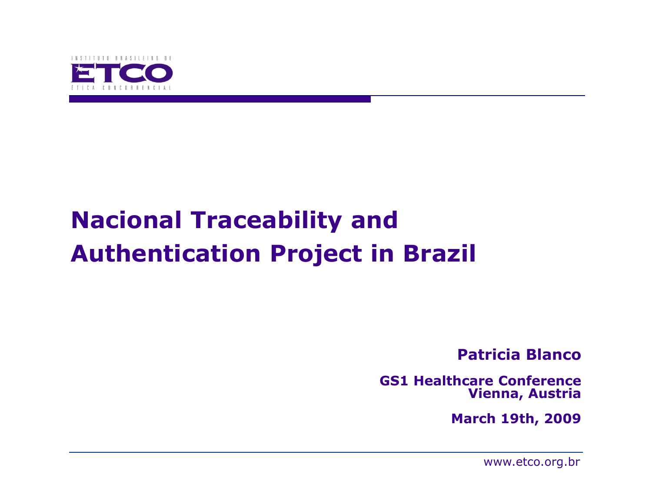

# Nacional Traceability and Authentication Project in Brazil

Patricia Blanco

GS1 Healthcare ConferenceVienna, Austria

March 19th, 2009

www.etco.org.br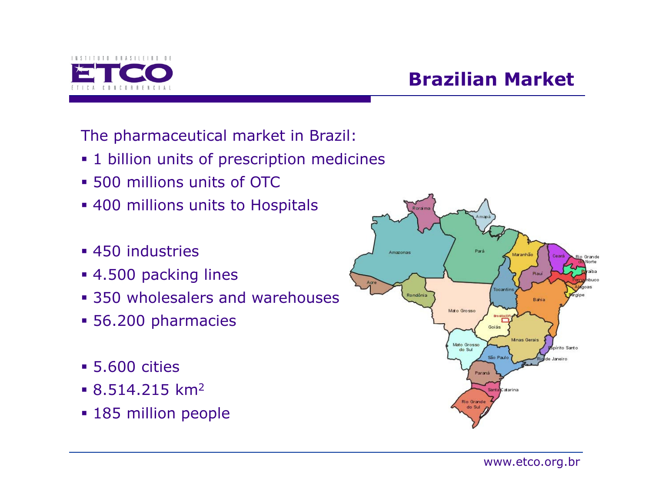

# Brazilian Market

The pharmaceutical market in Brazil:

- **•** 1 billion units of prescription medicines
- 500 millions units of OTC
- **400 millions units to Hospitals**
- 450 industries
- 4.500 packing lines
- **350 wholesalers and warehouses**
- 56.200 pharmacies
- 5.600 cities
- $\blacksquare$  8.514.215 km<sup>2</sup>
- 185 million people

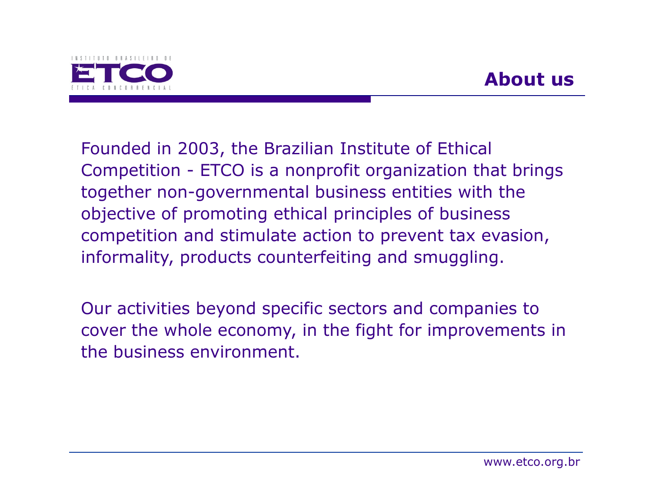

Founded in 2003, the Brazilian Institute of EthicalCompetition - ETCO is a nonprofit organization that brings together non-governmental business entities with the objective of promoting ethical principles of business competition and stimulate action to prevent tax evasion, informality, products counterfeiting and smuggling.

Our activities beyond specific sectors and companies to cover the whole economy, in the fight for improvements in the business environment.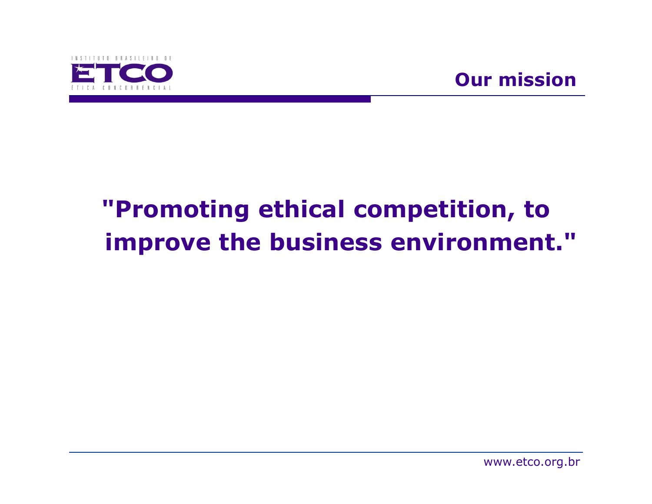

# "Promoting ethical competition, to improve the business environment."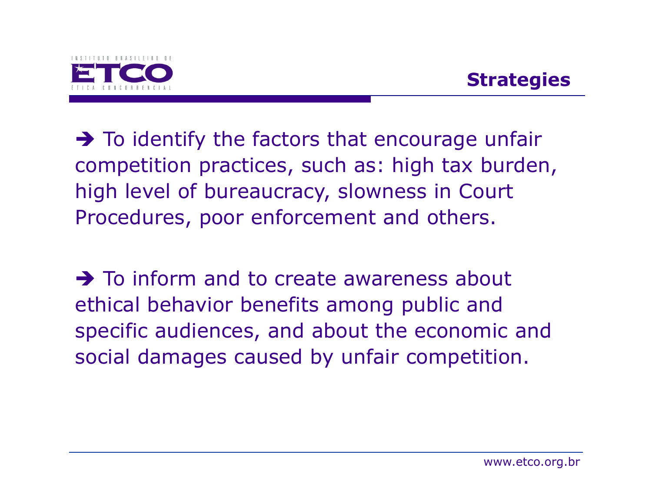

To identify the factors that encourage unfair<br>competition practices, such as: high tay hurden competition practices, such as: high tax burden, high level of bureaucracy, slowness in Court Procedures, poor enforcement and others.

To inform and to create awareness about<br>Athical hebavior henefits among public and ethical behavior benefits among public and specific audiences, and about the economic and social damages caused by unfair competition.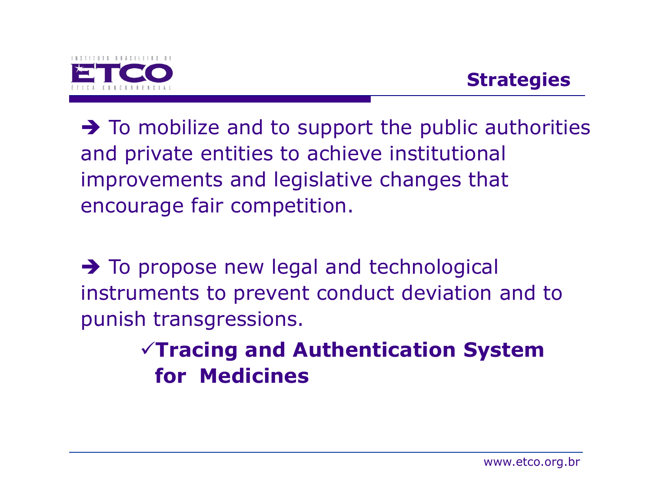

# **Strategies**

To mobilize and to support the public authorities<br>and private entities to achieve institutional and private entities to achieve institutional improvements and legislative changes that encourage fair competition.

To propose new legal and technological<br>instruments to prevent conduct deviation a instruments to prevent conduct deviation and to punish transgressions.

# $\sqrt{T}$ racing and Authentication System for Medicines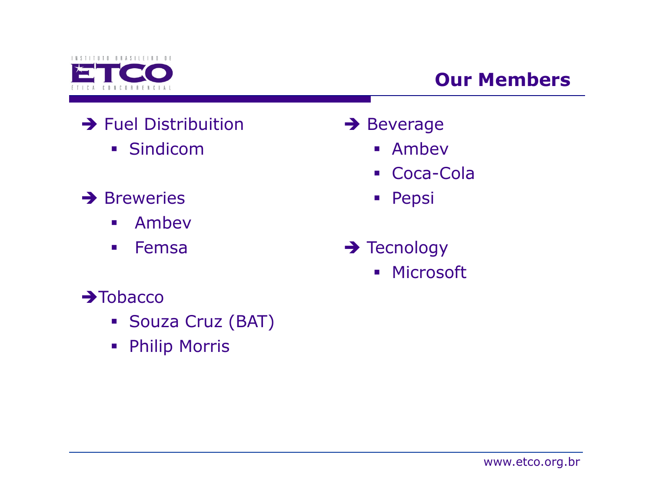

# Our Members

- → Fuel Distribuition
	- Sindicom
- **→** Breweries
	- $\mathcal{L}_{\mathcal{A}}$ Ambev
	- $\mathcal{L}_{\mathcal{A}}$ Femsa
- $\rightarrow$ Tobacco
	- Souza Cruz (BAT)
	- Philip Morris
- → Beverage
	- Ambev
	- Coca-Cola
	- Pepsi
- → Tecnology<br>Distance
	- Microsoft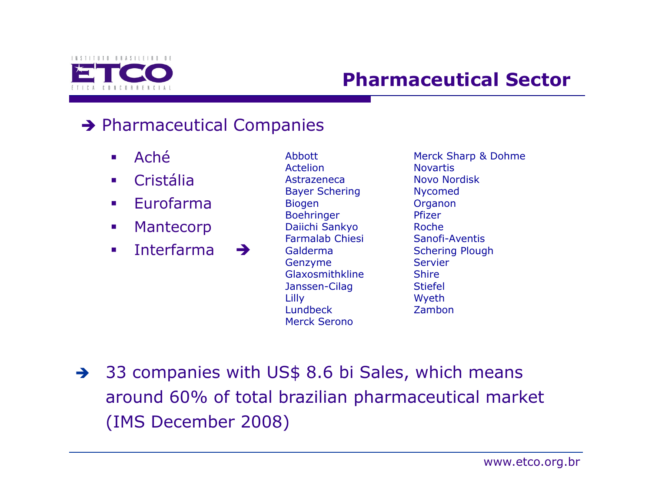

### Pharmaceutical Sector

# → Pharmaceutical Companies

- $\mathcal{L}_{\mathcal{A}}$ Aché
- $\mathcal{L}_{\mathrm{max}}$ Cristália
- $\mathcal{L}_{\mathcal{A}}$ Eurofarma
- $\mathcal{L}_{\mathcal{A}}$ Mantecorp
- $\mathcal{L}_{\mathcal{A}}$ Interfarma  $\rightarrow$

Abbott Actelion Astrazeneca Bayer ScheringBiogen Boehringer Daiichi Sankyo Farmalab ChiesiGalderma Genzyme GlaxosmithklineJanssen-CilagLilly LundbeckMerck Serono

Merck Sharp & DohmeNovartis Novo NordiskNycomed OrganonPfizer Roche Sanofi-Aventis Schering PloughServier**Shire**  Stiefel WyethZambon

33 companies with US\$ 8.6 bi Sales, which means around 60% of total brazilian pharmaceutical market(IMS December 2008)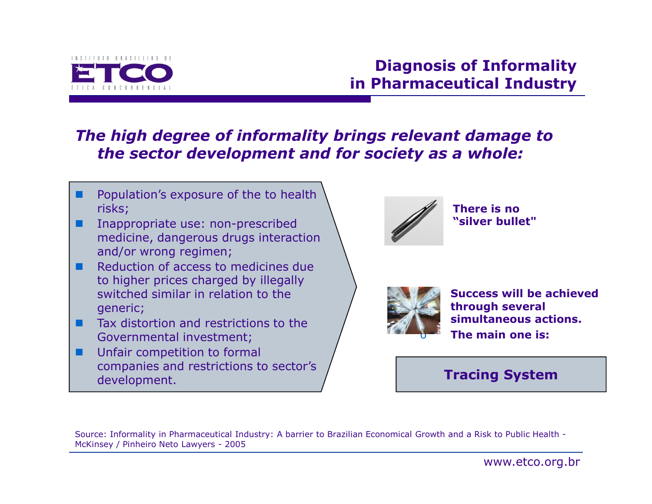

#### Diagnosis of Informalityin Pharmaceutical Industry

#### The high degree of informality brings relevant damage to the sector development and for society as a whole:

- . Population's exposure of the to health risks;
- Ŧ Inappropriate use: non-prescribed medicine, dangerous drugs interaction and/or wrong regimen;
- Reduction of access to medicines due to higher prices charged by illegally switched similar in relation to the generic;
- Ξ Tax distortion and restrictions to the Governmental investment;
- Ŧ Unfair competition to formal companies and restrictions to sector's development.



 There is no "silver bullet"



 Success will be achieved through several simultaneous actions. The main one is:

#### Tracing System

Source: Informality in Pharmaceutical Industry: A barrier to Brazilian Economical Growth and a Risk to Public Health -McKinsey / Pinheiro Neto Lawyers - <sup>2005</sup>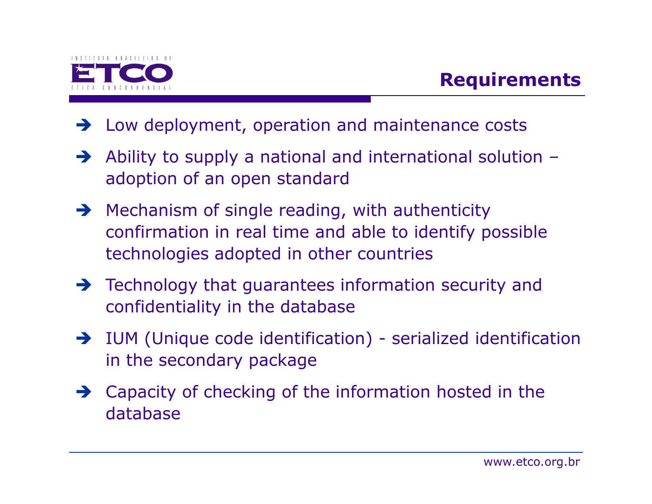

## Requirements

- Low deployment, operation and maintenance costs
- $\rightarrow$  Ability to supply a national and international solution – adoption of an open standard
- → Mechanism of single reading, with authenticity<br>Confirmation in real time and able to identify no confirmation in real time and able to identify possible technologies adopted in other countries
- Technology that guarantees information security and<br>confidentiality in the database confidentiality in the database
- IUM (Unique code identification) serialized identification in the secondary package
- Capacity of checking of the information hosted in the database database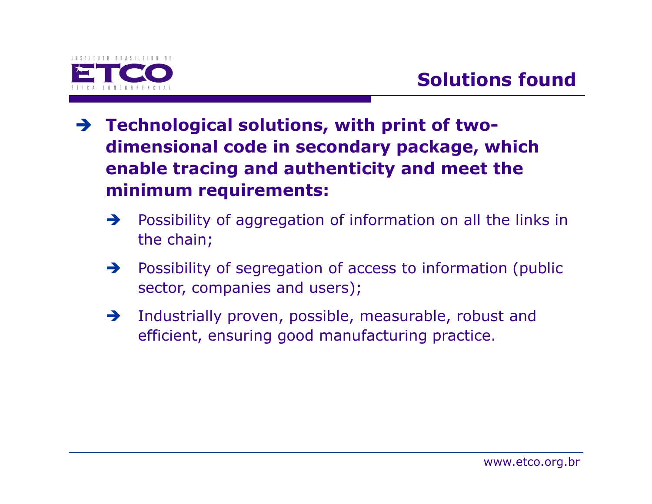

- Technological solutions, with print of twodimensional code in secondary package, which enable tracing and authenticity and meet the minimum requirements:
	- $\rightarrow$  Possibility of aggregation of information on all the links in the chain;
	- $\rightarrow$  Possibility of segregation of access to information (public sector, companies and users);
	- $\rightarrow$  Industrially proven, possible, measurable, robust and efficient, ensuring good manufacturing practice.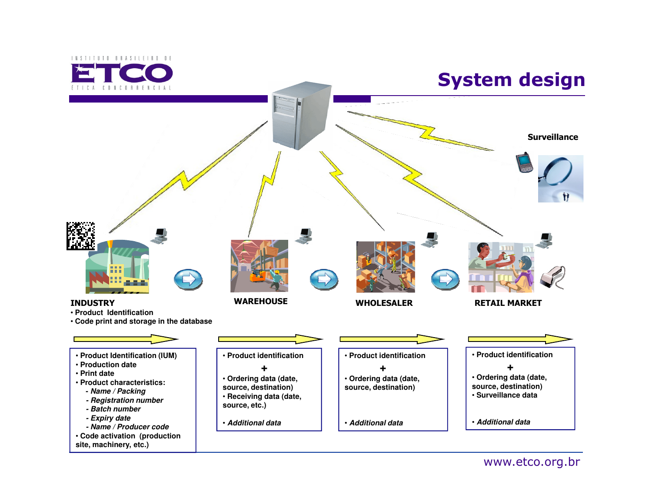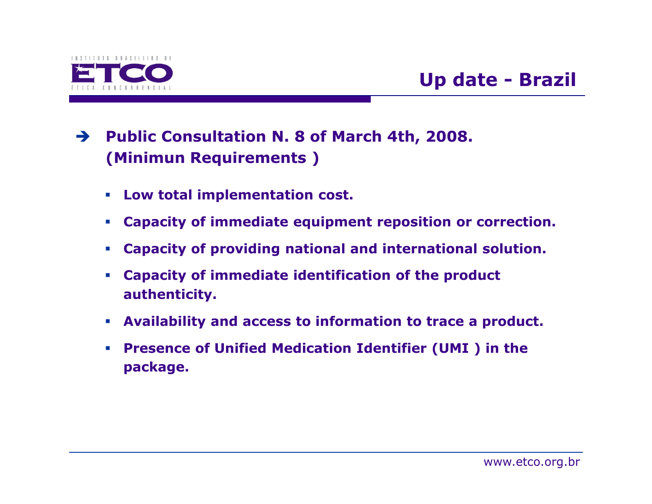

# Up date - Brazil

- Public Consultation N. 8 of March 4th, 2008. (Minimun Requirements )
	- Low total implementation cost.
	- Capacity of immediate equipment reposition or correction.
	- $\mathcal{L}_{\mathcal{A}}$ Capacity of providing national and international solution.
	- $\mathcal{L}_{\rm{eff}}$  Capacity of immediate identification of the product authenticity.
	- $\overline{\phantom{a}}$ Availability and access to information to trace a product.
	- $\mathcal{L}_{\mathcal{A}}$  Presence of Unified Medication Identifier (UMI ) in the package.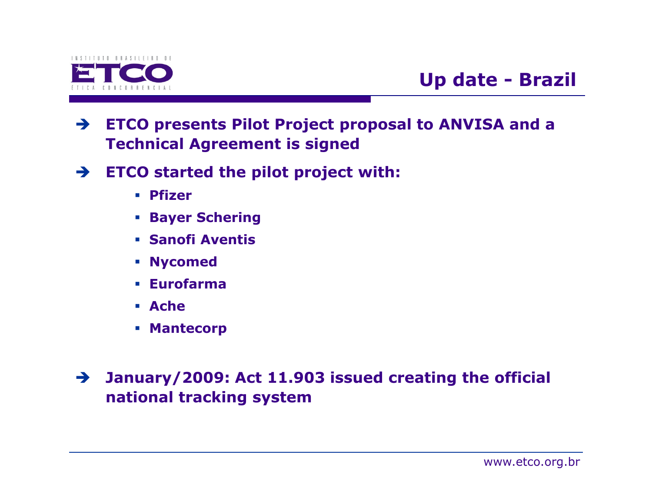

## Up date - Brazil

- $\rightarrow$  ETCO presents Pilot Project proposal to ANVISA and a Technical Agreement is signed
- $\rightarrow$  ETCO started the pilot project with:
	- **Pfizer**
	- Bayer Schering
	- Sanofi Aventis
	- Nycomed
	- Eurofarma
	- Ache
	- **Mantecorp**

- January/2009: Act 11.903 issued creating the official national tracking system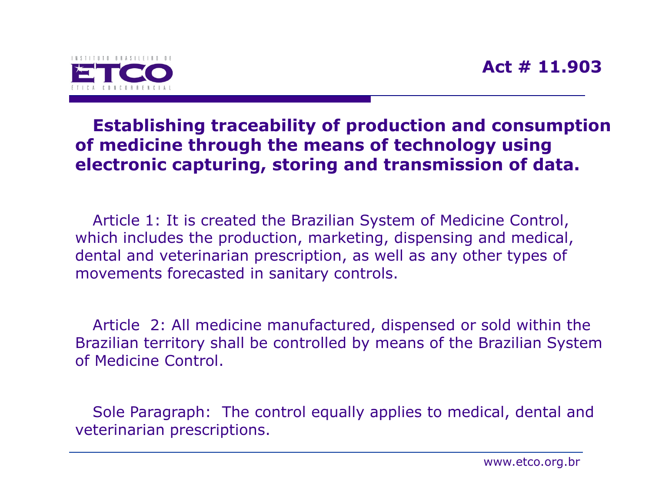



#### Establishing traceability of production and consumption of medicine through the means of technology using electronic capturing, storing and transmission of data.

Article 1: It is created the Brazilian System of Medicine Control, which includes the production, marketing, dispensing and medical, dental and veterinarian prescription, as well as any other types of movements forecasted in sanitary controls.

Article 2: All medicine manufactured, dispensed or sold within the Brazilian territory shall be controlled by means of the Brazilian System of Medicine Control.

Sole Paragraph: The control equally applies to medical, dental and veterinarian prescriptions.

www.etco.org.br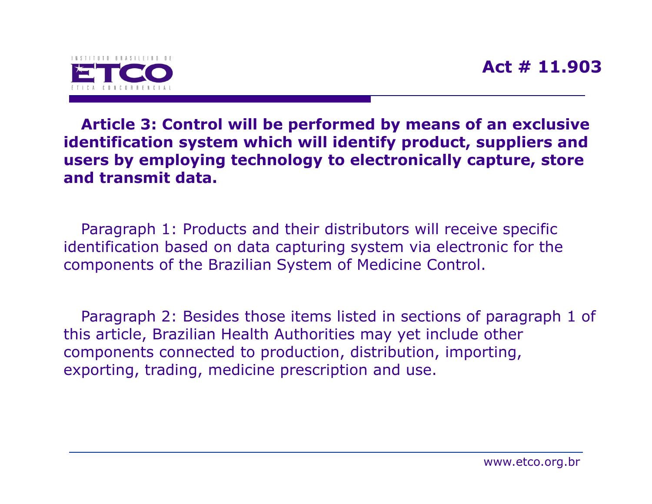

Article 3: Control will be performed by means of an exclusive identification system which will identify product, suppliers and users by employing technology to electronically capture, store and transmit data.

Paragraph 1: Products and their distributors will receive specific identification based on data capturing system via electronic for the components of the Brazilian System of Medicine Control.

Paragraph 2: Besides those items listed in sections of paragraph 1 of this article, Brazilian Health Authorities may yet include other components connected to production, distribution, importing, exporting, trading, medicine prescription and use.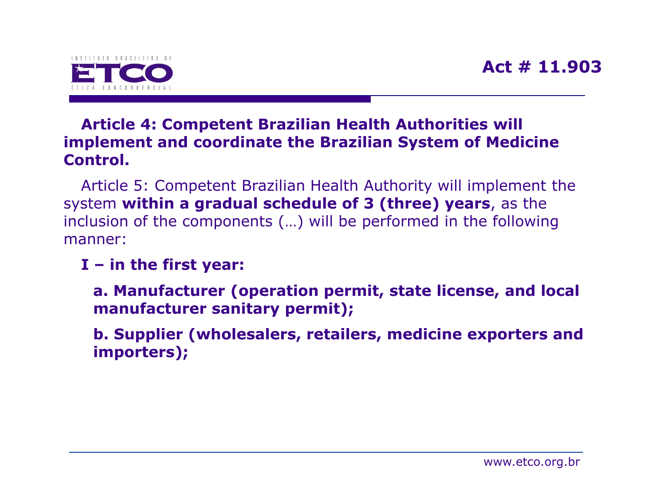

#### Article 4: Competent Brazilian Health Authorities will implement and coordinate the Brazilian System of Medicine Control.

Article 5: Competent Brazilian Health Authority will implement the system within a gradual schedule of 3 (three) years, as the inclusion of the components (…) will be performed in the following manner:

#### I – in the first year:

a. Manufacturer (operation permit, state license, and local manufacturer sanitary permit);

b. Supplier (wholesalers, retailers, medicine exporters and importers);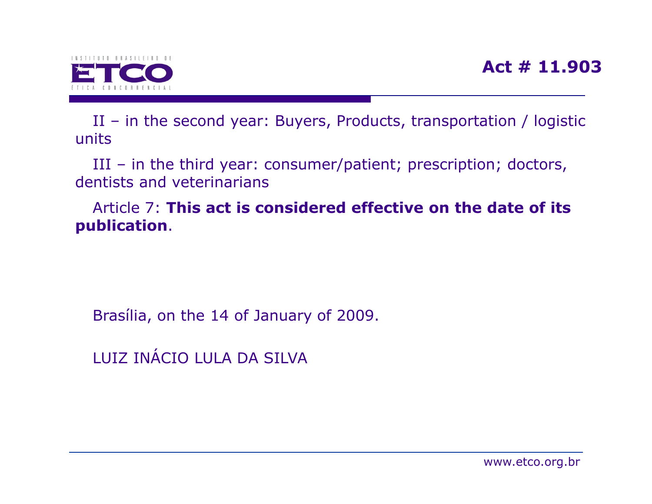

II – in the second year: Buyers, Products, transportation / logistic units

III – in the third year: consumer/patient; prescription; doctors, dentists and veterinarians

Article 7: This act is considered effective on the date of itspublication.

Brasília, on the 14 of January of 2009.

LUIZ INÁCIO LULA DA SILVA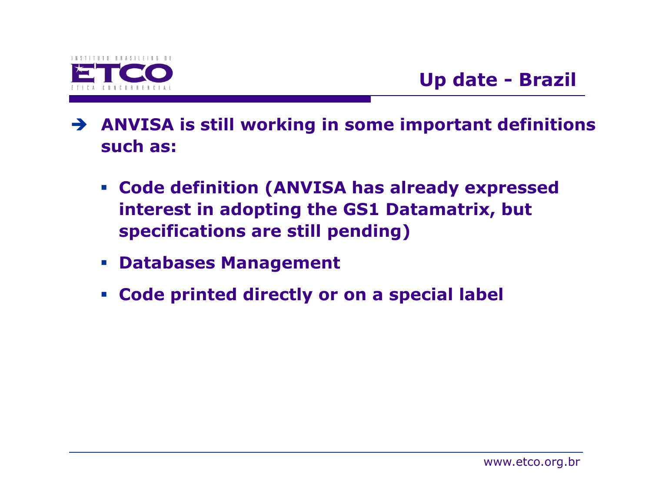

- ANVISA is still working in some important definitions such as:
	- Code definition (ANVISA has already expressed interest in adopting the GS1 Datamatrix, but specifications are still pending)
	- Databases Management
	- Code printed directly or on a special label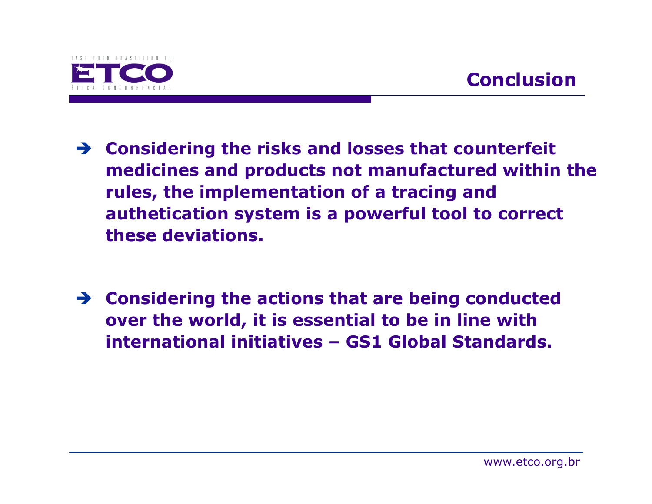

- Considering the risks and losses that counterfeit medicines and products not manufactured within the rules, the implementation of a tracing and authetication system is a powerful tool to correct these deviations.
- Sonsidering the actions that are being conducted<br>
over the world it is essential to be in line with over the world, it is essential to be in line with international initiatives – GS1 Global Standards.